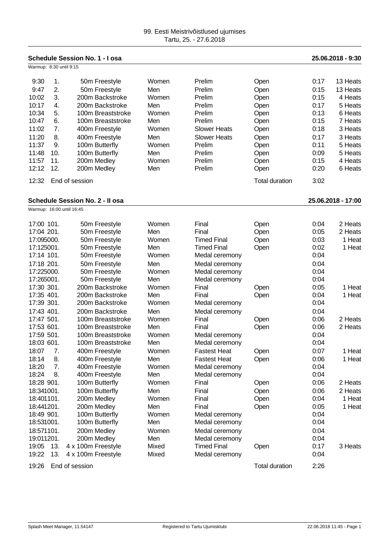**Schedule Session No. 1 - I osa 25.06.2018 - 9:30**

|            |                           | OUUUIVII I IVI                         |       |                     |                       |      |                    |
|------------|---------------------------|----------------------------------------|-------|---------------------|-----------------------|------|--------------------|
|            | Warmup: 8:30 until 9:15   |                                        |       |                     |                       |      |                    |
| 9:30       | $\mathbf{1}$ .            | 50m Freestyle                          | Women | Prelim              | Open                  | 0:17 | 13 Heats           |
| 9:47       | 2.                        | 50m Freestyle                          | Men   | Prelim              | Open                  | 0:15 | 13 Heats           |
| 10:02      | 3.                        | 200m Backstroke                        | Women | Prelim              | Open                  | 0:15 | 4 Heats            |
| 10:17      | 4.                        | 200m Backstroke                        | Men   | Prelim              | Open                  | 0:17 | 5 Heats            |
| 10:34      | 5.                        | 100m Breaststroke                      | Women | Prelim              | Open                  | 0:13 | 6 Heats            |
| 10:47      | 6.                        | 100m Breaststroke                      | Men   | Prelim              | Open                  | 0:15 | 7 Heats            |
| 11:02      | 7.                        | 400m Freestyle                         | Women | <b>Slower Heats</b> | Open                  | 0:18 | 3 Heats            |
| 11:20      | 8.                        | 400m Freestyle                         | Men   | <b>Slower Heats</b> | Open                  | 0:17 | 3 Heats            |
| 11:37      | 9.                        | 100m Butterfly                         | Women | Prelim              | Open                  | 0:11 | 5 Heats            |
| 11:48      | 10.                       | 100m Butterfly                         | Men   | Prelim              | Open                  | 0:09 | 5 Heats            |
| 11:57      | 11.                       | 200m Medley                            | Women | Prelim              | Open                  | 0:15 | 4 Heats            |
| 12:12      | 12.                       | 200m Medley                            | Men   | Prelim              | Open                  | 0:20 | 6 Heats            |
| 12:32      |                           | End of session                         |       |                     | <b>Total duration</b> | 3:02 |                    |
|            |                           | <b>Schedule Session No. 2 - Il osa</b> |       |                     |                       |      | 25.06.2018 - 17:00 |
|            | Warmup: 16:00 until 16:45 |                                        |       |                     |                       |      |                    |
| 17:00 101. |                           | 50m Freestyle                          | Women | Final               | Open                  | 0:04 | 2 Heats            |
| 17:04 201. |                           | 50m Freestyle                          | Men   | Final               | Open                  | 0:05 | 2 Heats            |
| 17:095000. |                           | 50m Freestyle                          | Women | <b>Timed Final</b>  | Open                  | 0:03 | 1 Heat             |
| 17:125001. |                           | 50m Freestyle                          | Men   | <b>Timed Final</b>  | Open                  | 0:02 | 1 Heat             |
| 17:14 101. |                           | 50m Freestyle                          | Women | Medal ceremony      |                       | 0:04 |                    |
| 17:18 201. |                           | 50m Freestyle                          | Men   | Medal ceremony      |                       | 0:04 |                    |
| 17:225000. |                           | 50m Freestyle                          | Women | Medal ceremony      |                       | 0:04 |                    |
| 17:265001. |                           | 50m Freestyle                          | Men   | Medal ceremony      |                       | 0:04 |                    |
| 17:30 301. |                           | 200m Backstroke                        | Women | Final               | Open                  | 0:05 | 1 Heat             |
| 17:35 401. |                           | 200m Backstroke                        | Men   | Final               | Open                  | 0:04 | 1 Heat             |
| 17:39 301. |                           | 200m Backstroke                        | Women | Medal ceremony      |                       | 0:04 |                    |
| 17:43 401. |                           | 200m Backstroke                        | Men   | Medal ceremony      |                       | 0:04 |                    |
| 17:47 501. |                           | 100m Breaststroke                      | Women | Final               | Open                  | 0:06 | 2 Heats            |
| 17:53 601. |                           | 100m Breaststroke                      | Men   | Final               | Open                  | 0:06 | 2 Heats            |
| 17:59 501. |                           | 100m Breaststroke                      | Women | Medal ceremony      |                       | 0:04 |                    |
| 18:03 601. |                           | 100m Breaststroke                      | Men   | Medal ceremony      |                       | 0:04 |                    |

18:07 7. 400m Freestyle Women Fastest Heat Open 0:07 1 Heat 18:14 8. 400m Freestyle Men Fastest Heat Open 0:06 1 Heat 18:20 7. 400m Freestyle Women Medal ceremony 0:04

18:28 901. 100m Butterfly Women Final Open 0:06 2 Heats 18:341001. 100m Butterfly Men Final Open 0:06 2 Heats<br>18:401101. 200m Medlev Women Final Open 0:04 1 Heat

18:441201. 200m Medley Men Final Open 0:05 1 Heat

19:05 13. 4 x 100m Freestyle Mixed Timed Final Open 0:17 3 Heats

18:20 7. 400m Freestyle Women Medal ceremony 0:04 18:24 8. 400m Freestyle Men Medal ceremony 0:04

18:401101. 200m Medley Momen Final Open 0:04

18:49 901. 100m Butterfly Women Medal ceremony 0:04 18:531001. 100m Butterfly Men Medal ceremony 0:04 18:571101. 200m Medley Women Medal ceremony 0:04 19:011201. 200m Medley Men Medal ceremony 0:04

19:22 13. 4 x 100m Freestyle Mixed Medal ceremony 0:04 19:26 End of session Total duration 2:26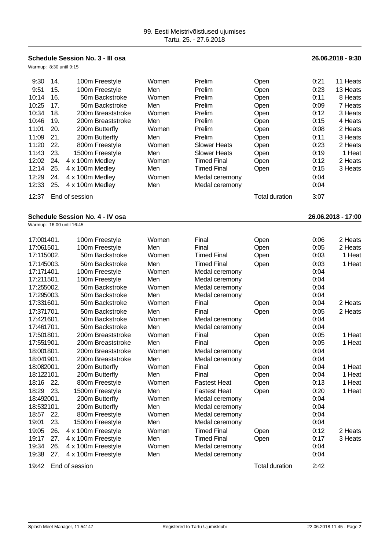| <b>Schedule Session No. 3 - III osa</b> |     |                                        |       |                     | 26.06.2018 - 9:30     |      |                    |
|-----------------------------------------|-----|----------------------------------------|-------|---------------------|-----------------------|------|--------------------|
| Warmup: 8:30 until 9:15                 |     |                                        |       |                     |                       |      |                    |
| 9:30                                    | 14. | 100m Freestyle                         | Women | Prelim              | Open                  | 0:21 | 11 Heats           |
| 9:51                                    | 15. | 100m Freestyle                         | Men   | Prelim              | Open                  | 0:23 | 13 Heats           |
| 10:14                                   | 16. | 50m Backstroke                         | Women | Prelim              | Open                  | 0:11 | 8 Heats            |
| 10:25                                   | 17. | 50m Backstroke                         | Men   | Prelim              | Open                  | 0:09 | 7 Heats            |
| 10:34                                   | 18. | 200m Breaststroke                      | Women | Prelim              | Open                  | 0:12 | 3 Heats            |
| 10:46                                   | 19. | 200m Breaststroke                      | Men   | Prelim              | Open                  | 0:15 | 4 Heats            |
| 11:01                                   | 20. | 200m Butterfly                         | Women | Prelim              | Open                  | 0:08 | 2 Heats            |
| 11:09                                   | 21. | 200m Butterfly                         | Men   | Prelim              | Open                  | 0:11 | 3 Heats            |
| 11:20                                   | 22. | 800m Freestyle                         | Women | <b>Slower Heats</b> | Open                  | 0:23 | 2 Heats            |
| 11:43                                   | 23. | 1500m Freestyle                        | Men   | <b>Slower Heats</b> | Open                  | 0:19 | 1 Heat             |
| 12:02                                   | 24. | 4 x 100m Medley                        | Women | <b>Timed Final</b>  | Open                  | 0:12 | 2 Heats            |
| 12:14                                   | 25. | 4 x 100m Medley                        | Men   | <b>Timed Final</b>  | Open                  | 0:15 | 3 Heats            |
| 12:29                                   | 24. | 4 x 100m Medley                        | Women | Medal ceremony      |                       | 0:04 |                    |
| 12:33                                   | 25. | 4 x 100m Medley                        | Men   | Medal ceremony      |                       | 0:04 |                    |
| 12:37                                   |     | End of session                         |       |                     | <b>Total duration</b> | 3:07 |                    |
|                                         |     |                                        |       |                     |                       |      |                    |
|                                         |     | <b>Schedule Session No. 4 - IV osa</b> |       |                     |                       |      | 26.06.2018 - 17:00 |
| Warmup: 16:00 until 16:45               |     |                                        |       |                     |                       |      |                    |
| 17:001401.                              |     | 100m Freestyle                         | Women | Final               | Open                  | 0:06 | 2 Heats            |
| 17:061501.                              |     | 100m Freestyle                         | Men   | Final               | Open                  | 0:05 | 2 Heats            |
| 17:115002.                              |     | 50m Backstroke                         | Women | <b>Timed Final</b>  | Open                  | 0:03 | 1 Heat             |
| 17:145003.                              |     | 50m Backstroke                         | Men   | <b>Timed Final</b>  | Open                  | 0:03 | 1 Heat             |
| 17:171401.                              |     | 100m Freestyle                         | Women | Medal ceremony      |                       | 0:04 |                    |
| 17:211501.                              |     | 100m Freestyle                         | Men   | Medal ceremony      |                       | 0:04 |                    |
| 17:255002.                              |     | 50m Backstroke                         | Women | Medal ceremony      |                       | 0:04 |                    |
| 17:295003.                              |     | 50m Backstroke                         | Men   | Medal ceremony      |                       | 0:04 |                    |
| 17:331601.                              |     | 50m Backstroke                         | Women | Final               | Open                  | 0:04 | 2 Heats            |
| 17:371701.                              |     | 50m Backstroke                         | Men   | Final               | Open                  | 0:05 | 2 Heats            |
| 17:421601.                              |     | 50m Backstroke                         | Women | Medal ceremony      |                       | 0:04 |                    |
| 17:461701.                              |     | 50m Backstroke                         | Men   | Medal ceremony      |                       | 0:04 |                    |
| 17:501801.                              |     | 200m Breaststroke                      | Women | Final               | Open                  | 0:05 | 1 Heat             |
| 17:551901.                              |     | 200m Breaststroke                      | Men   | Final               | Open                  | 0:05 | 1 Heat             |
| 18:001801.                              |     | 200m Breaststroke                      | Women | Medal ceremony      |                       | 0:04 |                    |
| 18:041901.                              |     | 200m Breaststroke                      | Men   | Medal ceremony      |                       | 0:04 |                    |
| 18:082001.                              |     | 200m Butterfly                         | Women | Final               | Open                  | 0:04 | 1 Heat             |
| 18:122101.                              |     | 200m Butterfly                         | Men   | Final               | Open                  | 0:04 | 1 Heat             |
| 18:16                                   | 22. | 800m Freestyle                         | Women | <b>Fastest Heat</b> | Open                  | 0:13 | 1 Heat             |
| 18:29                                   | 23. | 1500m Freestyle                        | Men   | <b>Fastest Heat</b> | Open                  | 0:20 | 1 Heat             |
| 18:492001.                              |     | 200m Butterfly                         | Women | Medal ceremony      |                       | 0:04 |                    |
| 18:532101.                              |     | 200m Butterfly                         | Men   | Medal ceremony      |                       | 0:04 |                    |
| 18:57                                   | 22. | 800m Freestyle                         | Women | Medal ceremony      |                       | 0:04 |                    |
| 19:01                                   | 23. | 1500m Freestyle                        | Men   | Medal ceremony      |                       | 0:04 |                    |
| 19:05                                   | 26. | 4 x 100m Freestyle                     | Women | <b>Timed Final</b>  | Open                  | 0:12 | 2 Heats            |
| 19:17                                   | 27. | 4 x 100m Freestyle                     | Men   | <b>Timed Final</b>  | Open                  | 0:17 | 3 Heats            |
| 19:34                                   | 26. | 4 x 100m Freestyle                     | Women | Medal ceremony      |                       | 0:04 |                    |
| 19:38                                   | 27. | 4 x 100m Freestyle                     | Men   | Medal ceremony      |                       | 0:04 |                    |
| 19:42                                   |     | End of session                         |       |                     | <b>Total duration</b> | 2:42 |                    |